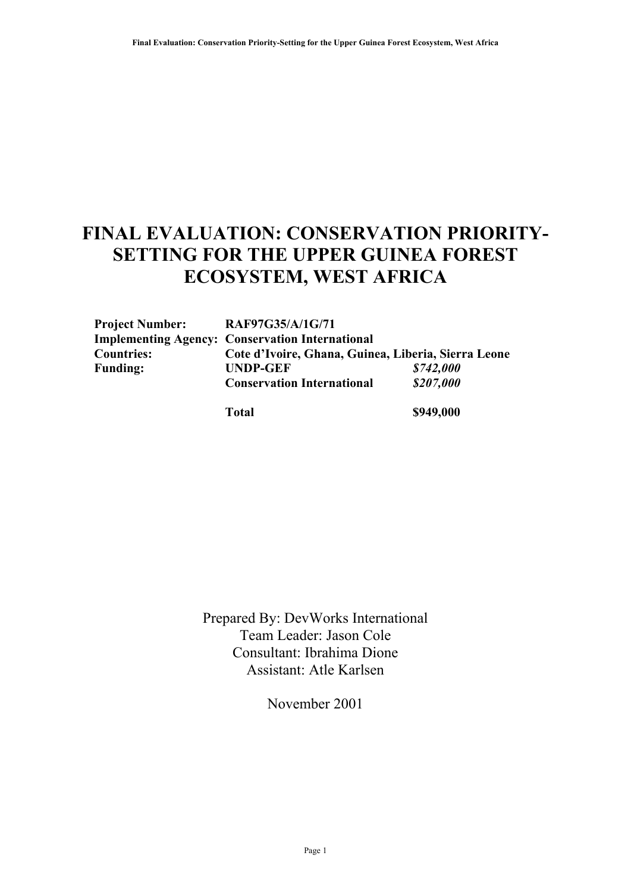# **FINAL EVALUATION: CONSERVATION PRIORITY-SETTING FOR THE UPPER GUINEA FOREST ECOSYSTEM, WEST AFRICA**

| <b>Project Number:</b> | RAF97G35/A/1G/71                                       |           |  |  |  |
|------------------------|--------------------------------------------------------|-----------|--|--|--|
|                        | <b>Implementing Agency: Conservation International</b> |           |  |  |  |
| <b>Countries:</b>      | Cote d'Ivoire, Ghana, Guinea, Liberia, Sierra Leone    |           |  |  |  |
| <b>Funding:</b>        | <b>UNDP-GEF</b>                                        | \$742,000 |  |  |  |
|                        | <b>Conservation International</b>                      | \$207,000 |  |  |  |
|                        | <b>Total</b>                                           | \$949,000 |  |  |  |

Prepared By: DevWorks International Team Leader: Jason Cole Consultant: Ibrahima Dione Assistant: Atle Karlsen

November 2001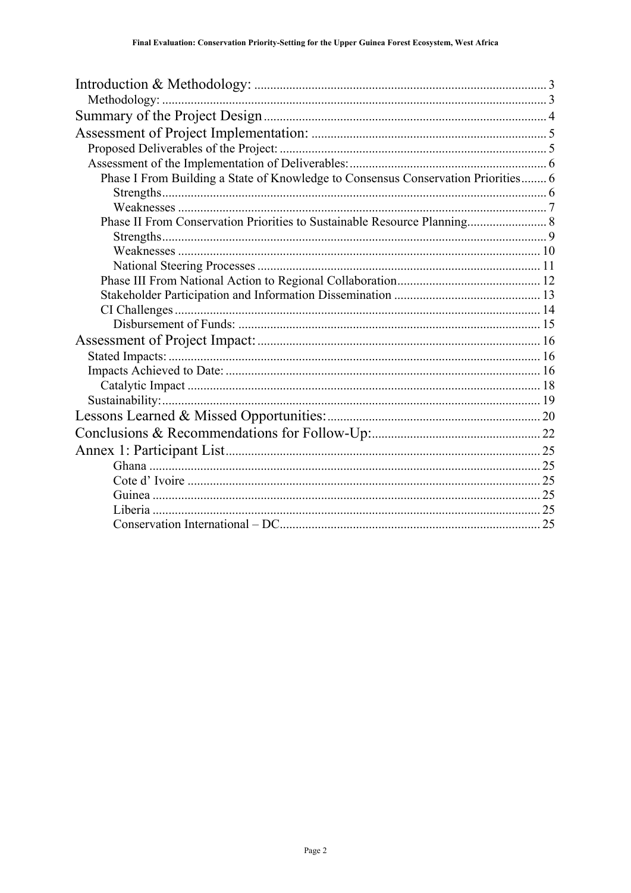| Phase I From Building a State of Knowledge to Consensus Conservation Priorities 6 |  |
|-----------------------------------------------------------------------------------|--|
|                                                                                   |  |
|                                                                                   |  |
| Phase II From Conservation Priorities to Sustainable Resource Planning 8          |  |
|                                                                                   |  |
|                                                                                   |  |
|                                                                                   |  |
|                                                                                   |  |
|                                                                                   |  |
|                                                                                   |  |
|                                                                                   |  |
|                                                                                   |  |
|                                                                                   |  |
|                                                                                   |  |
|                                                                                   |  |
|                                                                                   |  |
|                                                                                   |  |
|                                                                                   |  |
|                                                                                   |  |
|                                                                                   |  |
|                                                                                   |  |
|                                                                                   |  |
|                                                                                   |  |
|                                                                                   |  |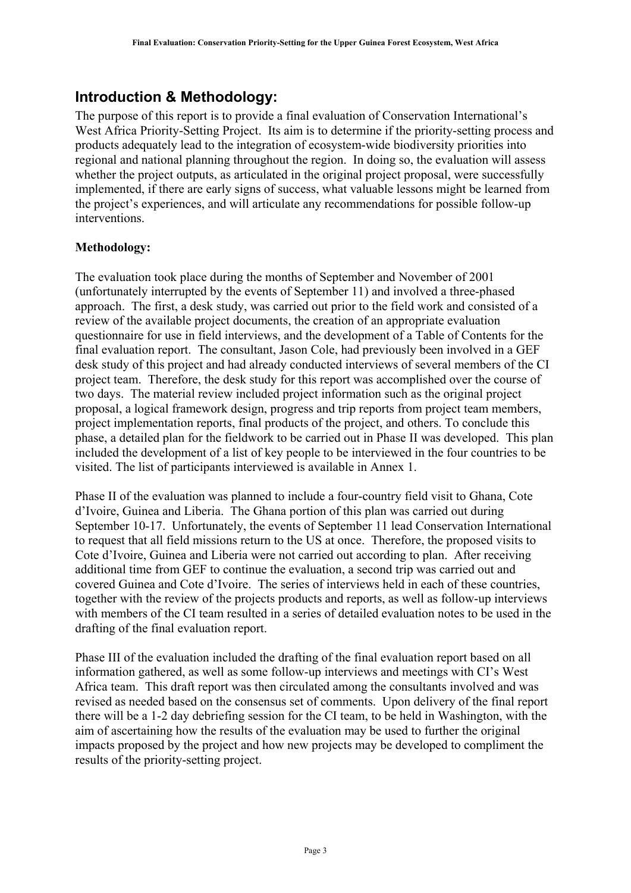### <span id="page-2-0"></span>**Introduction & Methodology:**

The purpose of this report is to provide a final evaluation of Conservation International's West Africa Priority-Setting Project. Its aim is to determine if the priority-setting process and products adequately lead to the integration of ecosystem-wide biodiversity priorities into regional and national planning throughout the region. In doing so, the evaluation will assess whether the project outputs, as articulated in the original project proposal, were successfully implemented, if there are early signs of success, what valuable lessons might be learned from the project's experiences, and will articulate any recommendations for possible follow-up interventions.

#### <span id="page-2-1"></span>**Methodology:**

The evaluation took place during the months of September and November of 2001 (unfortunately interrupted by the events of September 11) and involved a three-phased approach. The first, a desk study, was carried out prior to the field work and consisted of a review of the available project documents, the creation of an appropriate evaluation questionnaire for use in field interviews, and the development of a Table of Contents for the final evaluation report. The consultant, Jason Cole, had previously been involved in a GEF desk study of this project and had already conducted interviews of several members of the CI project team. Therefore, the desk study for this report was accomplished over the course of two days. The material review included project information such as the original project proposal, a logical framework design, progress and trip reports from project team members, project implementation reports, final products of the project, and others. To conclude this phase, a detailed plan for the fieldwork to be carried out in Phase II was developed. This plan included the development of a list of key people to be interviewed in the four countries to be visited. The list of participants interviewed is available in Annex 1.

Phase II of the evaluation was planned to include a four-country field visit to Ghana, Cote d'Ivoire, Guinea and Liberia. The Ghana portion of this plan was carried out during September 10-17. Unfortunately, the events of September 11 lead Conservation International to request that all field missions return to the US at once. Therefore, the proposed visits to Cote d'Ivoire, Guinea and Liberia were not carried out according to plan. After receiving additional time from GEF to continue the evaluation, a second trip was carried out and covered Guinea and Cote d'Ivoire. The series of interviews held in each of these countries, together with the review of the projects products and reports, as well as follow-up interviews with members of the CI team resulted in a series of detailed evaluation notes to be used in the drafting of the final evaluation report.

Phase III of the evaluation included the drafting of the final evaluation report based on all information gathered, as well as some follow-up interviews and meetings with CI's West Africa team. This draft report was then circulated among the consultants involved and was revised as needed based on the consensus set of comments. Upon delivery of the final report there will be a 1-2 day debriefing session for the CI team, to be held in Washington, with the aim of ascertaining how the results of the evaluation may be used to further the original impacts proposed by the project and how new projects may be developed to compliment the results of the priority-setting project.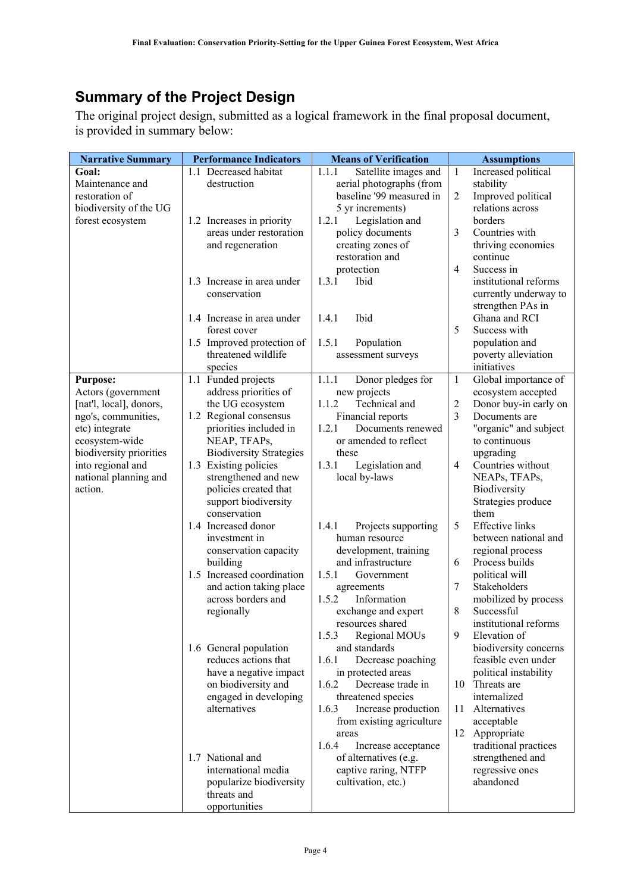## <span id="page-3-0"></span>**Summary of the Project Design**

The original project design, submitted as a logical framework in the final proposal document, is provided in summary below:

| <b>Narrative Summary</b>         | <b>Performance Indicators</b>          | <b>Means of Verification</b>                    | <b>Assumptions</b>                           |  |
|----------------------------------|----------------------------------------|-------------------------------------------------|----------------------------------------------|--|
| Goal:                            | 1.1 Decreased habitat                  | 1.1.1<br>Satellite images and                   | 1<br>Increased political                     |  |
| Maintenance and                  | destruction                            | aerial photographs (from                        | stability                                    |  |
| restoration of                   |                                        | baseline '99 measured in                        | Improved political<br>2                      |  |
| biodiversity of the UG           |                                        | 5 yr increments)                                | relations across                             |  |
| forest ecosystem                 | 1.2 Increases in priority              | 1.2.1<br>Legislation and                        | borders                                      |  |
|                                  | areas under restoration                | policy documents                                | 3<br>Countries with                          |  |
|                                  | and regeneration                       | creating zones of                               | thriving economies                           |  |
|                                  |                                        | restoration and                                 | continue                                     |  |
|                                  |                                        | protection                                      | $\overline{4}$<br>Success in                 |  |
|                                  | 1.3 Increase in area under             | 1.3.1<br>Ibid                                   | institutional reforms                        |  |
|                                  | conservation                           |                                                 | currently underway to                        |  |
|                                  |                                        |                                                 | strengthen PAs in                            |  |
|                                  | 1.4 Increase in area under             | Ibid<br>1.4.1                                   | Ghana and RCI                                |  |
|                                  | forest cover                           |                                                 | 5<br>Success with                            |  |
|                                  | 1.5 Improved protection of             | 1.5.1<br>Population                             | population and                               |  |
|                                  | threatened wildlife                    | assessment surveys                              | poverty alleviation                          |  |
|                                  | species                                |                                                 | initiatives                                  |  |
| <b>Purpose:</b>                  | 1.1 Funded projects                    | 1.1.1<br>Donor pledges for                      | $\mathbf{1}$<br>Global importance of         |  |
| Actors (government               | address priorities of                  | new projects                                    | ecosystem accepted                           |  |
| [nat'l, local], donors,          | the UG ecosystem                       | 1.1.2<br>Technical and                          | 2<br>Donor buy-in early on<br>$\overline{3}$ |  |
| ngo's, communities,              | 1.2 Regional consensus                 | Financial reports<br>1.2.1<br>Documents renewed | Documents are                                |  |
| etc) integrate<br>ecosystem-wide | priorities included in<br>NEAP, TFAPs, | or amended to reflect                           | "organic" and subject<br>to continuous       |  |
| biodiversity priorities          | <b>Biodiversity Strategies</b>         | these                                           | upgrading                                    |  |
| into regional and                | 1.3 Existing policies                  | 1.3.1<br>Legislation and                        | Countries without<br>4                       |  |
| national planning and            | strengthened and new                   | local by-laws                                   | NEAPs, TFAPs,                                |  |
| action.                          | policies created that                  |                                                 | Biodiversity                                 |  |
|                                  | support biodiversity                   |                                                 | Strategies produce                           |  |
|                                  | conservation                           |                                                 | them                                         |  |
|                                  | 1.4 Increased donor                    | 1.4.1<br>Projects supporting                    | 5<br><b>Effective</b> links                  |  |
|                                  | investment in                          | human resource                                  | between national and                         |  |
|                                  | conservation capacity                  | development, training                           | regional process                             |  |
|                                  | building                               | and infrastructure                              | Process builds<br>6                          |  |
|                                  | 1.5 Increased coordination             | 1.5.1<br>Government                             | political will                               |  |
|                                  | and action taking place                | agreements                                      | $\overline{7}$<br>Stakeholders               |  |
|                                  | across borders and                     | 1.5.2<br>Information                            | mobilized by process                         |  |
|                                  | regionally                             | exchange and expert                             | Successful<br>8                              |  |
|                                  |                                        | resources shared                                | institutional reforms                        |  |
|                                  |                                        | 1.5.3<br>Regional MOUs                          | 9<br>Elevation of                            |  |
|                                  | 1.6 General population                 | and standards                                   | biodiversity concerns                        |  |
|                                  | reduces actions that                   | 1.6.1<br>Decrease poaching                      | feasible even under                          |  |
|                                  | have a negative impact                 | in protected areas                              | political instability                        |  |
|                                  | on biodiversity and                    | 1.6.2<br>Decrease trade in                      | Threats are<br>10                            |  |
|                                  | engaged in developing                  | threatened species                              | internalized                                 |  |
|                                  | alternatives                           | 1.6.3<br>Increase production                    | Alternatives<br>11                           |  |
|                                  |                                        | from existing agriculture                       | acceptable                                   |  |
|                                  |                                        | areas                                           | Appropriate<br>12                            |  |
|                                  |                                        | 1.6.4<br>Increase acceptance                    | traditional practices                        |  |
|                                  | 1.7 National and                       | of alternatives (e.g.                           | strengthened and                             |  |
|                                  | international media                    | captive raring, NTFP                            | regressive ones                              |  |
|                                  | popularize biodiversity                | cultivation, etc.)                              | abandoned                                    |  |
|                                  | threats and                            |                                                 |                                              |  |
|                                  | opportunities                          |                                                 |                                              |  |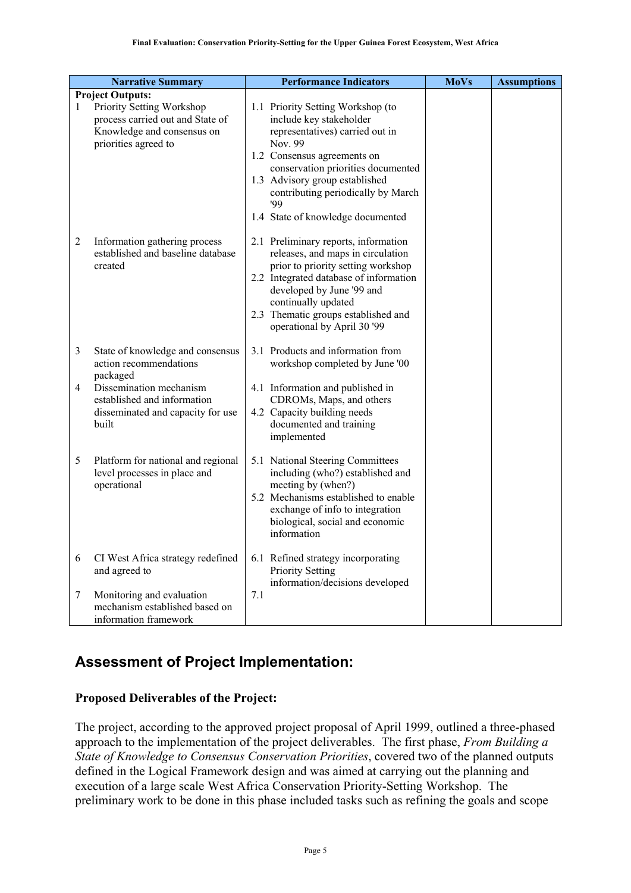|   | <b>Narrative Summary</b>                                                                                            | <b>Performance Indicators</b>                                                                                                                                                                                                                                                                       | <b>MoVs</b> | <b>Assumptions</b> |
|---|---------------------------------------------------------------------------------------------------------------------|-----------------------------------------------------------------------------------------------------------------------------------------------------------------------------------------------------------------------------------------------------------------------------------------------------|-------------|--------------------|
|   | <b>Project Outputs:</b>                                                                                             |                                                                                                                                                                                                                                                                                                     |             |                    |
| 1 | Priority Setting Workshop<br>process carried out and State of<br>Knowledge and consensus on<br>priorities agreed to | 1.1 Priority Setting Workshop (to<br>include key stakeholder<br>representatives) carried out in<br>Nov. 99<br>1.2 Consensus agreements on<br>conservation priorities documented<br>1.3 Advisory group established<br>contributing periodically by March<br>'99<br>1.4 State of knowledge documented |             |                    |
| 2 | Information gathering process<br>established and baseline database<br>created                                       | 2.1 Preliminary reports, information<br>releases, and maps in circulation<br>prior to priority setting workshop<br>2.2 Integrated database of information<br>developed by June '99 and<br>continually updated<br>2.3 Thematic groups established and<br>operational by April 30 '99                 |             |                    |
| 3 | State of knowledge and consensus<br>action recommendations<br>packaged                                              | 3.1 Products and information from<br>workshop completed by June '00                                                                                                                                                                                                                                 |             |                    |
| 4 | Dissemination mechanism<br>established and information<br>disseminated and capacity for use<br>built                | 4.1 Information and published in<br>CDROMs, Maps, and others<br>4.2 Capacity building needs<br>documented and training<br>implemented                                                                                                                                                               |             |                    |
| 5 | Platform for national and regional<br>level processes in place and<br>operational                                   | 5.1 National Steering Committees<br>including (who?) established and<br>meeting by (when?)<br>5.2 Mechanisms established to enable<br>exchange of info to integration<br>biological, social and economic<br>information                                                                             |             |                    |
| 6 | CI West Africa strategy redefined<br>and agreed to                                                                  | 6.1 Refined strategy incorporating<br><b>Priority Setting</b><br>information/decisions developed                                                                                                                                                                                                    |             |                    |
| 7 | Monitoring and evaluation<br>mechanism established based on<br>information framework                                | 7.1                                                                                                                                                                                                                                                                                                 |             |                    |

### <span id="page-4-0"></span>**Assessment of Project Implementation:**

#### <span id="page-4-1"></span>**Proposed Deliverables of the Project:**

The project, according to the approved project proposal of April 1999, outlined a three-phased approach to the implementation of the project deliverables. The first phase, *From Building a State of Knowledge to Consensus Conservation Priorities*, covered two of the planned outputs defined in the Logical Framework design and was aimed at carrying out the planning and execution of a large scale West Africa Conservation Priority-Setting Workshop. The preliminary work to be done in this phase included tasks such as refining the goals and scope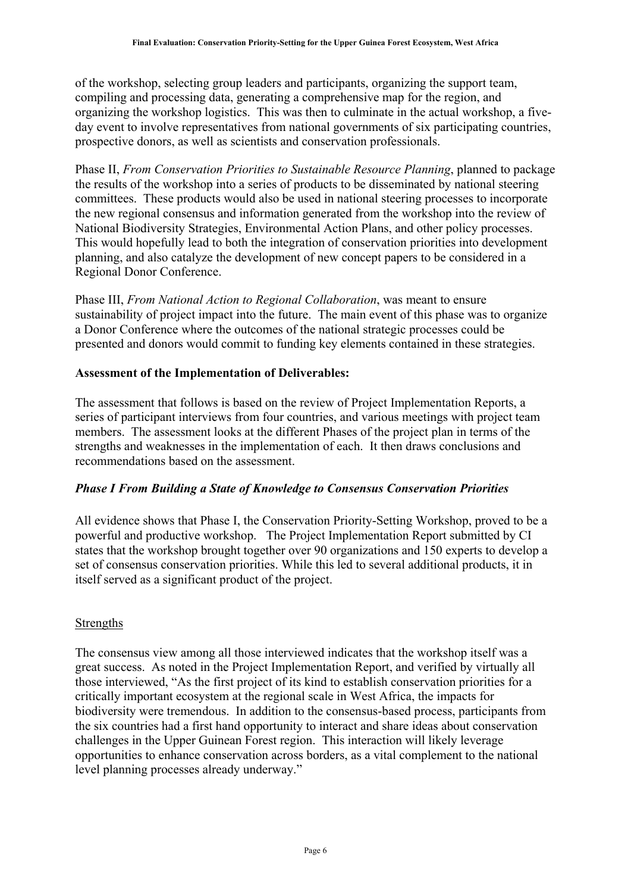of the workshop, selecting group leaders and participants, organizing the support team, compiling and processing data, generating a comprehensive map for the region, and organizing the workshop logistics. This was then to culminate in the actual workshop, a fiveday event to involve representatives from national governments of six participating countries, prospective donors, as well as scientists and conservation professionals.

Phase II, *From Conservation Priorities to Sustainable Resource Planning*, planned to package the results of the workshop into a series of products to be disseminated by national steering committees. These products would also be used in national steering processes to incorporate the new regional consensus and information generated from the workshop into the review of National Biodiversity Strategies, Environmental Action Plans, and other policy processes. This would hopefully lead to both the integration of conservation priorities into development planning, and also catalyze the development of new concept papers to be considered in a Regional Donor Conference.

Phase III, *From National Action to Regional Collaboration*, was meant to ensure sustainability of project impact into the future. The main event of this phase was to organize a Donor Conference where the outcomes of the national strategic processes could be presented and donors would commit to funding key elements contained in these strategies.

#### <span id="page-5-0"></span>**Assessment of the Implementation of Deliverables:**

The assessment that follows is based on the review of Project Implementation Reports, a series of participant interviews from four countries, and various meetings with project team members. The assessment looks at the different Phases of the project plan in terms of the strengths and weaknesses in the implementation of each. It then draws conclusions and recommendations based on the assessment.

#### <span id="page-5-1"></span>*Phase I From Building a State of Knowledge to Consensus Conservation Priorities*

All evidence shows that Phase I, the Conservation Priority-Setting Workshop, proved to be a powerful and productive workshop. The Project Implementation Report submitted by CI states that the workshop brought together over 90 organizations and 150 experts to develop a set of consensus conservation priorities. While this led to several additional products, it in itself served as a significant product of the project.

#### <span id="page-5-2"></span>Strengths

The consensus view among all those interviewed indicates that the workshop itself was a great success. As noted in the Project Implementation Report, and verified by virtually all those interviewed, "As the first project of its kind to establish conservation priorities for a critically important ecosystem at the regional scale in West Africa, the impacts for biodiversity were tremendous. In addition to the consensus-based process, participants from the six countries had a first hand opportunity to interact and share ideas about conservation challenges in the Upper Guinean Forest region. This interaction will likely leverage opportunities to enhance conservation across borders, as a vital complement to the national level planning processes already underway."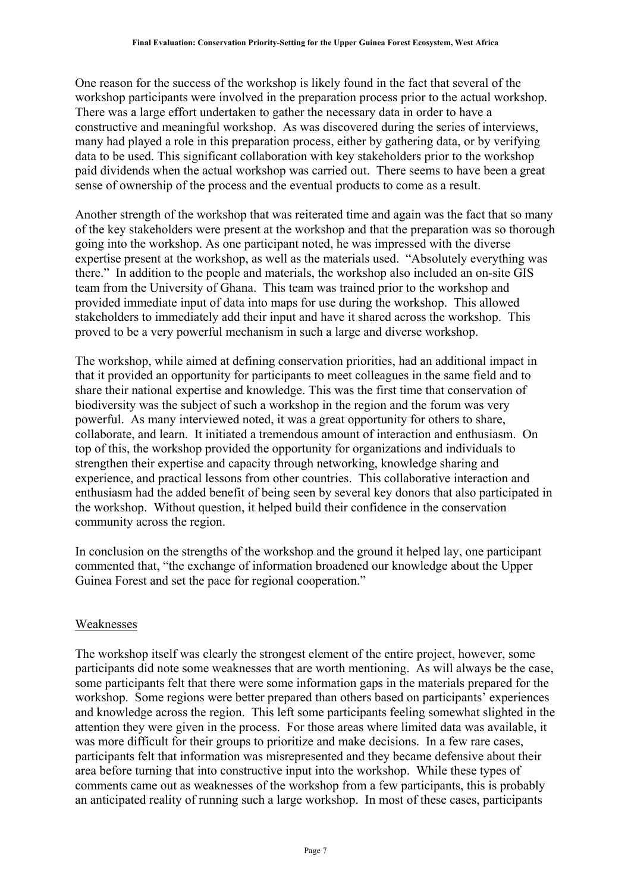One reason for the success of the workshop is likely found in the fact that several of the workshop participants were involved in the preparation process prior to the actual workshop. There was a large effort undertaken to gather the necessary data in order to have a constructive and meaningful workshop. As was discovered during the series of interviews, many had played a role in this preparation process, either by gathering data, or by verifying data to be used. This significant collaboration with key stakeholders prior to the workshop paid dividends when the actual workshop was carried out. There seems to have been a great sense of ownership of the process and the eventual products to come as a result.

Another strength of the workshop that was reiterated time and again was the fact that so many of the key stakeholders were present at the workshop and that the preparation was so thorough going into the workshop. As one participant noted, he was impressed with the diverse expertise present at the workshop, as well as the materials used. "Absolutely everything was there." In addition to the people and materials, the workshop also included an on-site GIS team from the University of Ghana. This team was trained prior to the workshop and provided immediate input of data into maps for use during the workshop. This allowed stakeholders to immediately add their input and have it shared across the workshop. This proved to be a very powerful mechanism in such a large and diverse workshop.

The workshop, while aimed at defining conservation priorities, had an additional impact in that it provided an opportunity for participants to meet colleagues in the same field and to share their national expertise and knowledge. This was the first time that conservation of biodiversity was the subject of such a workshop in the region and the forum was very powerful. As many interviewed noted, it was a great opportunity for others to share, collaborate, and learn. It initiated a tremendous amount of interaction and enthusiasm. On top of this, the workshop provided the opportunity for organizations and individuals to strengthen their expertise and capacity through networking, knowledge sharing and experience, and practical lessons from other countries. This collaborative interaction and enthusiasm had the added benefit of being seen by several key donors that also participated in the workshop. Without question, it helped build their confidence in the conservation community across the region.

In conclusion on the strengths of the workshop and the ground it helped lay, one participant commented that, "the exchange of information broadened our knowledge about the Upper Guinea Forest and set the pace for regional cooperation."

#### <span id="page-6-0"></span>Weaknesses

The workshop itself was clearly the strongest element of the entire project, however, some participants did note some weaknesses that are worth mentioning. As will always be the case, some participants felt that there were some information gaps in the materials prepared for the workshop. Some regions were better prepared than others based on participants' experiences and knowledge across the region. This left some participants feeling somewhat slighted in the attention they were given in the process. For those areas where limited data was available, it was more difficult for their groups to prioritize and make decisions. In a few rare cases, participants felt that information was misrepresented and they became defensive about their area before turning that into constructive input into the workshop. While these types of comments came out as weaknesses of the workshop from a few participants, this is probably an anticipated reality of running such a large workshop. In most of these cases, participants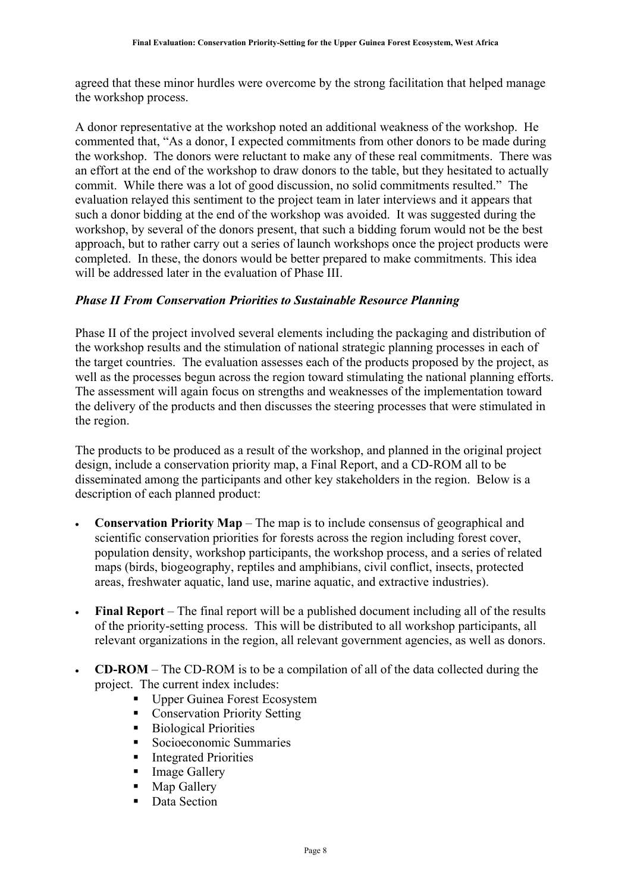agreed that these minor hurdles were overcome by the strong facilitation that helped manage the workshop process.

A donor representative at the workshop noted an additional weakness of the workshop. He commented that, "As a donor, I expected commitments from other donors to be made during the workshop. The donors were reluctant to make any of these real commitments. There was an effort at the end of the workshop to draw donors to the table, but they hesitated to actually commit. While there was a lot of good discussion, no solid commitments resulted." The evaluation relayed this sentiment to the project team in later interviews and it appears that such a donor bidding at the end of the workshop was avoided. It was suggested during the workshop, by several of the donors present, that such a bidding forum would not be the best approach, but to rather carry out a series of launch workshops once the project products were completed. In these, the donors would be better prepared to make commitments. This idea will be addressed later in the evaluation of Phase III.

#### <span id="page-7-0"></span>*Phase II From Conservation Priorities to Sustainable Resource Planning*

Phase II of the project involved several elements including the packaging and distribution of the workshop results and the stimulation of national strategic planning processes in each of the target countries. The evaluation assesses each of the products proposed by the project, as well as the processes begun across the region toward stimulating the national planning efforts. The assessment will again focus on strengths and weaknesses of the implementation toward the delivery of the products and then discusses the steering processes that were stimulated in the region.

The products to be produced as a result of the workshop, and planned in the original project design, include a conservation priority map, a Final Report, and a CD-ROM all to be disseminated among the participants and other key stakeholders in the region. Below is a description of each planned product:

- **Conservation Priority Map** The map is to include consensus of geographical and scientific conservation priorities for forests across the region including forest cover, population density, workshop participants, the workshop process, and a series of related maps (birds, biogeography, reptiles and amphibians, civil conflict, insects, protected areas, freshwater aquatic, land use, marine aquatic, and extractive industries).
- **Final Report** The final report will be a published document including all of the results of the priority-setting process. This will be distributed to all workshop participants, all relevant organizations in the region, all relevant government agencies, as well as donors.
- **CD-ROM** The CD-ROM is to be a compilation of all of the data collected during the project. The current index includes:
	- **Upper Guinea Forest Ecosystem**
	- Conservation Priority Setting
	- **Biological Priorities**
	- Socioeconomic Summaries
	- **Integrated Priorities**
	- **Image Gallery**
	- Map Gallery
	- Data Section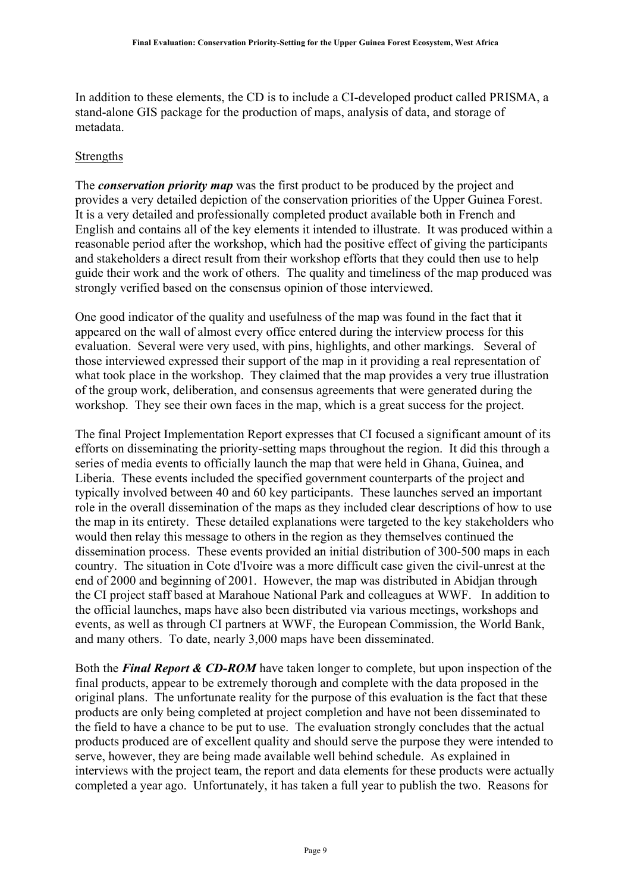In addition to these elements, the CD is to include a CI-developed product called PRISMA, a stand-alone GIS package for the production of maps, analysis of data, and storage of metadata.

#### <span id="page-8-0"></span>Strengths

The *conservation priority map* was the first product to be produced by the project and provides a very detailed depiction of the conservation priorities of the Upper Guinea Forest. It is a very detailed and professionally completed product available both in French and English and contains all of the key elements it intended to illustrate. It was produced within a reasonable period after the workshop, which had the positive effect of giving the participants and stakeholders a direct result from their workshop efforts that they could then use to help guide their work and the work of others. The quality and timeliness of the map produced was strongly verified based on the consensus opinion of those interviewed.

One good indicator of the quality and usefulness of the map was found in the fact that it appeared on the wall of almost every office entered during the interview process for this evaluation. Several were very used, with pins, highlights, and other markings. Several of those interviewed expressed their support of the map in it providing a real representation of what took place in the workshop. They claimed that the map provides a very true illustration of the group work, deliberation, and consensus agreements that were generated during the workshop. They see their own faces in the map, which is a great success for the project.

The final Project Implementation Report expresses that CI focused a significant amount of its efforts on disseminating the priority-setting maps throughout the region. It did this through a series of media events to officially launch the map that were held in Ghana, Guinea, and Liberia. These events included the specified government counterparts of the project and typically involved between 40 and 60 key participants. These launches served an important role in the overall dissemination of the maps as they included clear descriptions of how to use the map in its entirety. These detailed explanations were targeted to the key stakeholders who would then relay this message to others in the region as they themselves continued the dissemination process. These events provided an initial distribution of 300-500 maps in each country. The situation in Cote d'Ivoire was a more difficult case given the civil-unrest at the end of 2000 and beginning of 2001. However, the map was distributed in Abidjan through the CI project staff based at Marahoue National Park and colleagues at WWF. In addition to the official launches, maps have also been distributed via various meetings, workshops and events, as well as through CI partners at WWF, the European Commission, the World Bank, and many others. To date, nearly 3,000 maps have been disseminated.

Both the *Final Report & CD-ROM* have taken longer to complete, but upon inspection of the final products, appear to be extremely thorough and complete with the data proposed in the original plans. The unfortunate reality for the purpose of this evaluation is the fact that these products are only being completed at project completion and have not been disseminated to the field to have a chance to be put to use. The evaluation strongly concludes that the actual products produced are of excellent quality and should serve the purpose they were intended to serve, however, they are being made available well behind schedule. As explained in interviews with the project team, the report and data elements for these products were actually completed a year ago. Unfortunately, it has taken a full year to publish the two. Reasons for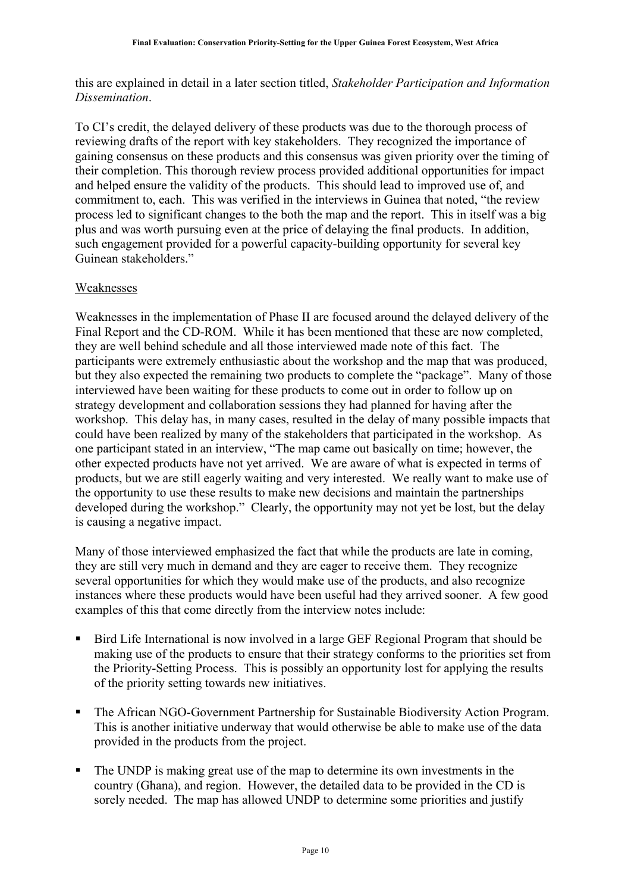this are explained in detail in a later section titled, *Stakeholder Participation and Information Dissemination*.

To CI's credit, the delayed delivery of these products was due to the thorough process of reviewing drafts of the report with key stakeholders. They recognized the importance of gaining consensus on these products and this consensus was given priority over the timing of their completion. This thorough review process provided additional opportunities for impact and helped ensure the validity of the products. This should lead to improved use of, and commitment to, each. This was verified in the interviews in Guinea that noted, "the review process led to significant changes to the both the map and the report. This in itself was a big plus and was worth pursuing even at the price of delaying the final products. In addition, such engagement provided for a powerful capacity-building opportunity for several key Guinean stakeholders."

#### <span id="page-9-0"></span>Weaknesses

Weaknesses in the implementation of Phase II are focused around the delayed delivery of the Final Report and the CD-ROM. While it has been mentioned that these are now completed, they are well behind schedule and all those interviewed made note of this fact. The participants were extremely enthusiastic about the workshop and the map that was produced, but they also expected the remaining two products to complete the "package". Many of those interviewed have been waiting for these products to come out in order to follow up on strategy development and collaboration sessions they had planned for having after the workshop. This delay has, in many cases, resulted in the delay of many possible impacts that could have been realized by many of the stakeholders that participated in the workshop. As one participant stated in an interview, "The map came out basically on time; however, the other expected products have not yet arrived. We are aware of what is expected in terms of products, but we are still eagerly waiting and very interested. We really want to make use of the opportunity to use these results to make new decisions and maintain the partnerships developed during the workshop." Clearly, the opportunity may not yet be lost, but the delay is causing a negative impact.

Many of those interviewed emphasized the fact that while the products are late in coming, they are still very much in demand and they are eager to receive them. They recognize several opportunities for which they would make use of the products, and also recognize instances where these products would have been useful had they arrived sooner. A few good examples of this that come directly from the interview notes include:

- Bird Life International is now involved in a large GEF Regional Program that should be making use of the products to ensure that their strategy conforms to the priorities set from the Priority-Setting Process. This is possibly an opportunity lost for applying the results of the priority setting towards new initiatives.
- The African NGO-Government Partnership for Sustainable Biodiversity Action Program. This is another initiative underway that would otherwise be able to make use of the data provided in the products from the project.
- The UNDP is making great use of the map to determine its own investments in the country (Ghana), and region. However, the detailed data to be provided in the CD is sorely needed. The map has allowed UNDP to determine some priorities and justify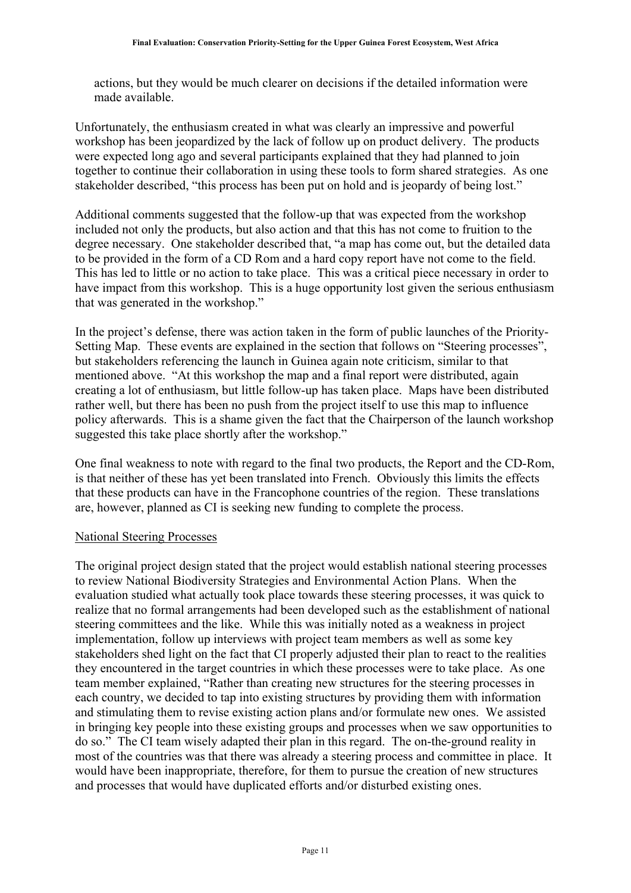actions, but they would be much clearer on decisions if the detailed information were made available.

Unfortunately, the enthusiasm created in what was clearly an impressive and powerful workshop has been jeopardized by the lack of follow up on product delivery. The products were expected long ago and several participants explained that they had planned to join together to continue their collaboration in using these tools to form shared strategies. As one stakeholder described, "this process has been put on hold and is jeopardy of being lost."

Additional comments suggested that the follow-up that was expected from the workshop included not only the products, but also action and that this has not come to fruition to the degree necessary. One stakeholder described that, "a map has come out, but the detailed data to be provided in the form of a CD Rom and a hard copy report have not come to the field. This has led to little or no action to take place. This was a critical piece necessary in order to have impact from this workshop. This is a huge opportunity lost given the serious enthusiasm that was generated in the workshop."

In the project's defense, there was action taken in the form of public launches of the Priority-Setting Map. These events are explained in the section that follows on "Steering processes", but stakeholders referencing the launch in Guinea again note criticism, similar to that mentioned above. "At this workshop the map and a final report were distributed, again creating a lot of enthusiasm, but little follow-up has taken place. Maps have been distributed rather well, but there has been no push from the project itself to use this map to influence policy afterwards. This is a shame given the fact that the Chairperson of the launch workshop suggested this take place shortly after the workshop."

One final weakness to note with regard to the final two products, the Report and the CD-Rom, is that neither of these has yet been translated into French. Obviously this limits the effects that these products can have in the Francophone countries of the region. These translations are, however, planned as CI is seeking new funding to complete the process.

#### <span id="page-10-0"></span>National Steering Processes

The original project design stated that the project would establish national steering processes to review National Biodiversity Strategies and Environmental Action Plans. When the evaluation studied what actually took place towards these steering processes, it was quick to realize that no formal arrangements had been developed such as the establishment of national steering committees and the like. While this was initially noted as a weakness in project implementation, follow up interviews with project team members as well as some key stakeholders shed light on the fact that CI properly adjusted their plan to react to the realities they encountered in the target countries in which these processes were to take place. As one team member explained, "Rather than creating new structures for the steering processes in each country, we decided to tap into existing structures by providing them with information and stimulating them to revise existing action plans and/or formulate new ones. We assisted in bringing key people into these existing groups and processes when we saw opportunities to do so." The CI team wisely adapted their plan in this regard. The on-the-ground reality in most of the countries was that there was already a steering process and committee in place. It would have been inappropriate, therefore, for them to pursue the creation of new structures and processes that would have duplicated efforts and/or disturbed existing ones.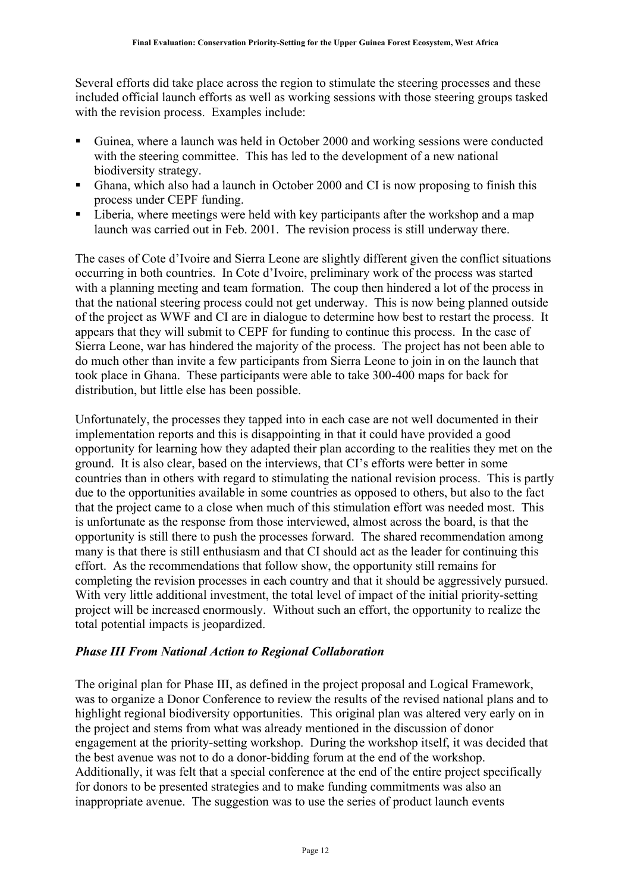Several efforts did take place across the region to stimulate the steering processes and these included official launch efforts as well as working sessions with those steering groups tasked with the revision process. Examples include:

- Guinea, where a launch was held in October 2000 and working sessions were conducted with the steering committee. This has led to the development of a new national biodiversity strategy.
- Ghana, which also had a launch in October 2000 and CI is now proposing to finish this process under CEPF funding.
- **Eiberia**, where meetings were held with key participants after the workshop and a map launch was carried out in Feb. 2001. The revision process is still underway there.

The cases of Cote d'Ivoire and Sierra Leone are slightly different given the conflict situations occurring in both countries. In Cote d'Ivoire, preliminary work of the process was started with a planning meeting and team formation. The coup then hindered a lot of the process in that the national steering process could not get underway. This is now being planned outside of the project as WWF and CI are in dialogue to determine how best to restart the process. It appears that they will submit to CEPF for funding to continue this process. In the case of Sierra Leone, war has hindered the majority of the process. The project has not been able to do much other than invite a few participants from Sierra Leone to join in on the launch that took place in Ghana. These participants were able to take 300-400 maps for back for distribution, but little else has been possible.

Unfortunately, the processes they tapped into in each case are not well documented in their implementation reports and this is disappointing in that it could have provided a good opportunity for learning how they adapted their plan according to the realities they met on the ground. It is also clear, based on the interviews, that CI's efforts were better in some countries than in others with regard to stimulating the national revision process. This is partly due to the opportunities available in some countries as opposed to others, but also to the fact that the project came to a close when much of this stimulation effort was needed most. This is unfortunate as the response from those interviewed, almost across the board, is that the opportunity is still there to push the processes forward. The shared recommendation among many is that there is still enthusiasm and that CI should act as the leader for continuing this effort. As the recommendations that follow show, the opportunity still remains for completing the revision processes in each country and that it should be aggressively pursued. With very little additional investment, the total level of impact of the initial priority-setting project will be increased enormously. Without such an effort, the opportunity to realize the total potential impacts is jeopardized.

#### <span id="page-11-0"></span>*Phase III From National Action to Regional Collaboration*

The original plan for Phase III, as defined in the project proposal and Logical Framework, was to organize a Donor Conference to review the results of the revised national plans and to highlight regional biodiversity opportunities. This original plan was altered very early on in the project and stems from what was already mentioned in the discussion of donor engagement at the priority-setting workshop. During the workshop itself, it was decided that the best avenue was not to do a donor-bidding forum at the end of the workshop. Additionally, it was felt that a special conference at the end of the entire project specifically for donors to be presented strategies and to make funding commitments was also an inappropriate avenue. The suggestion was to use the series of product launch events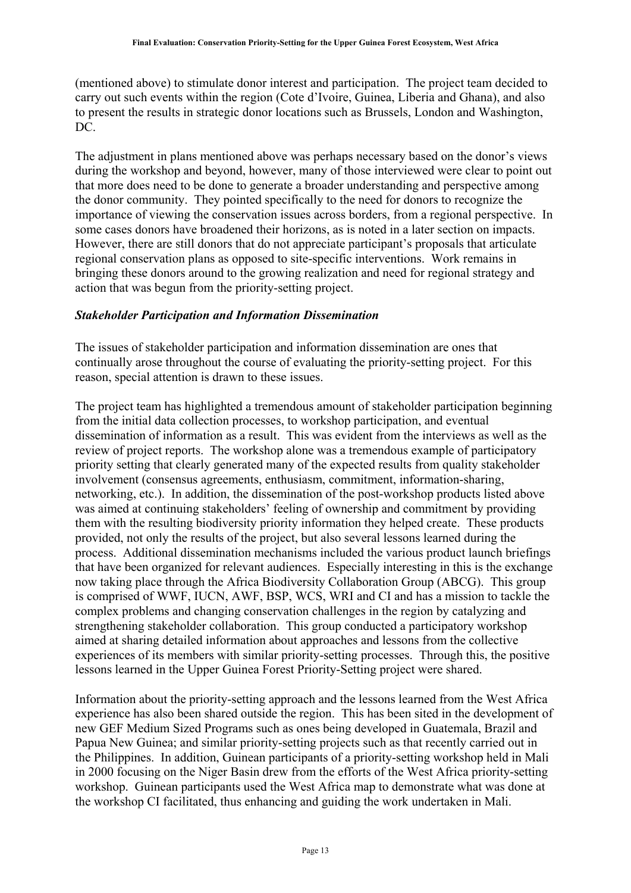(mentioned above) to stimulate donor interest and participation. The project team decided to carry out such events within the region (Cote d'Ivoire, Guinea, Liberia and Ghana), and also to present the results in strategic donor locations such as Brussels, London and Washington, DC.

The adjustment in plans mentioned above was perhaps necessary based on the donor's views during the workshop and beyond, however, many of those interviewed were clear to point out that more does need to be done to generate a broader understanding and perspective among the donor community. They pointed specifically to the need for donors to recognize the importance of viewing the conservation issues across borders, from a regional perspective. In some cases donors have broadened their horizons, as is noted in a later section on impacts. However, there are still donors that do not appreciate participant's proposals that articulate regional conservation plans as opposed to site-specific interventions. Work remains in bringing these donors around to the growing realization and need for regional strategy and action that was begun from the priority-setting project.

#### <span id="page-12-0"></span>*Stakeholder Participation and Information Dissemination*

The issues of stakeholder participation and information dissemination are ones that continually arose throughout the course of evaluating the priority-setting project. For this reason, special attention is drawn to these issues.

The project team has highlighted a tremendous amount of stakeholder participation beginning from the initial data collection processes, to workshop participation, and eventual dissemination of information as a result. This was evident from the interviews as well as the review of project reports. The workshop alone was a tremendous example of participatory priority setting that clearly generated many of the expected results from quality stakeholder involvement (consensus agreements, enthusiasm, commitment, information-sharing, networking, etc.). In addition, the dissemination of the post-workshop products listed above was aimed at continuing stakeholders' feeling of ownership and commitment by providing them with the resulting biodiversity priority information they helped create. These products provided, not only the results of the project, but also several lessons learned during the process. Additional dissemination mechanisms included the various product launch briefings that have been organized for relevant audiences. Especially interesting in this is the exchange now taking place through the Africa Biodiversity Collaboration Group (ABCG). This group is comprised of WWF, IUCN, AWF, BSP, WCS, WRI and CI and has a mission to tackle the complex problems and changing conservation challenges in the region by catalyzing and strengthening stakeholder collaboration. This group conducted a participatory workshop aimed at sharing detailed information about approaches and lessons from the collective experiences of its members with similar priority-setting processes. Through this, the positive lessons learned in the Upper Guinea Forest Priority-Setting project were shared.

Information about the priority-setting approach and the lessons learned from the West Africa experience has also been shared outside the region. This has been sited in the development of new GEF Medium Sized Programs such as ones being developed in Guatemala, Brazil and Papua New Guinea; and similar priority-setting projects such as that recently carried out in the Philippines. In addition, Guinean participants of a priority-setting workshop held in Mali in 2000 focusing on the Niger Basin drew from the efforts of the West Africa priority-setting workshop. Guinean participants used the West Africa map to demonstrate what was done at the workshop CI facilitated, thus enhancing and guiding the work undertaken in Mali.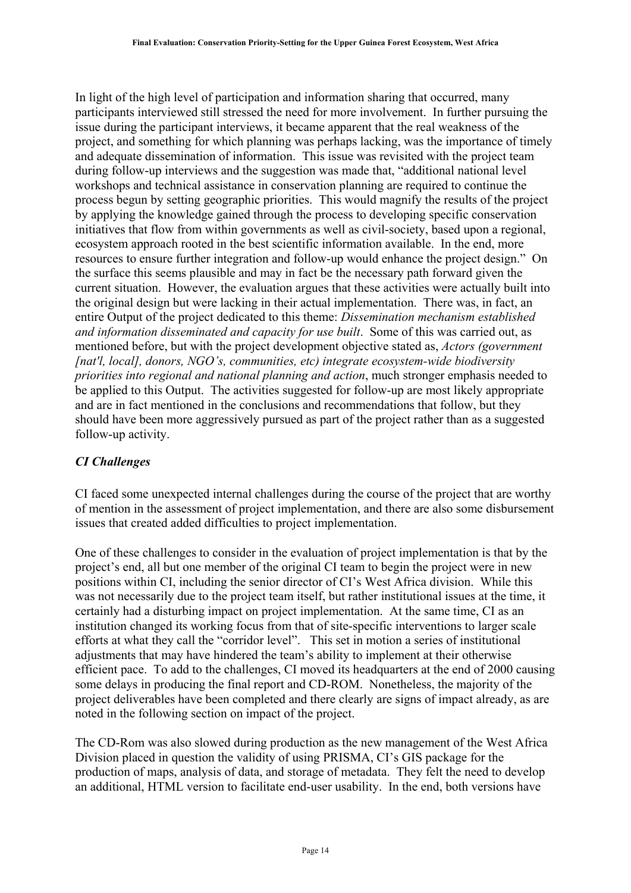In light of the high level of participation and information sharing that occurred, many participants interviewed still stressed the need for more involvement. In further pursuing the issue during the participant interviews, it became apparent that the real weakness of the project, and something for which planning was perhaps lacking, was the importance of timely and adequate dissemination of information. This issue was revisited with the project team during follow-up interviews and the suggestion was made that, "additional national level workshops and technical assistance in conservation planning are required to continue the process begun by setting geographic priorities. This would magnify the results of the project by applying the knowledge gained through the process to developing specific conservation initiatives that flow from within governments as well as civil-society, based upon a regional, ecosystem approach rooted in the best scientific information available. In the end, more resources to ensure further integration and follow-up would enhance the project design." On the surface this seems plausible and may in fact be the necessary path forward given the current situation. However, the evaluation argues that these activities were actually built into the original design but were lacking in their actual implementation. There was, in fact, an entire Output of the project dedicated to this theme: *Dissemination mechanism established and information disseminated and capacity for use built*. Some of this was carried out, as mentioned before, but with the project development objective stated as, *Actors (government [nat'l, local], donors, NGO's, communities, etc) integrate ecosystem-wide biodiversity priorities into regional and national planning and action*, much stronger emphasis needed to be applied to this Output. The activities suggested for follow-up are most likely appropriate and are in fact mentioned in the conclusions and recommendations that follow, but they should have been more aggressively pursued as part of the project rather than as a suggested follow-up activity.

#### <span id="page-13-0"></span>*CI Challenges*

CI faced some unexpected internal challenges during the course of the project that are worthy of mention in the assessment of project implementation, and there are also some disbursement issues that created added difficulties to project implementation.

One of these challenges to consider in the evaluation of project implementation is that by the project's end, all but one member of the original CI team to begin the project were in new positions within CI, including the senior director of CI's West Africa division. While this was not necessarily due to the project team itself, but rather institutional issues at the time, it certainly had a disturbing impact on project implementation. At the same time, CI as an institution changed its working focus from that of site-specific interventions to larger scale efforts at what they call the "corridor level". This set in motion a series of institutional adjustments that may have hindered the team's ability to implement at their otherwise efficient pace. To add to the challenges, CI moved its headquarters at the end of 2000 causing some delays in producing the final report and CD-ROM. Nonetheless, the majority of the project deliverables have been completed and there clearly are signs of impact already, as are noted in the following section on impact of the project.

The CD-Rom was also slowed during production as the new management of the West Africa Division placed in question the validity of using PRISMA, CI's GIS package for the production of maps, analysis of data, and storage of metadata. They felt the need to develop an additional, HTML version to facilitate end-user usability. In the end, both versions have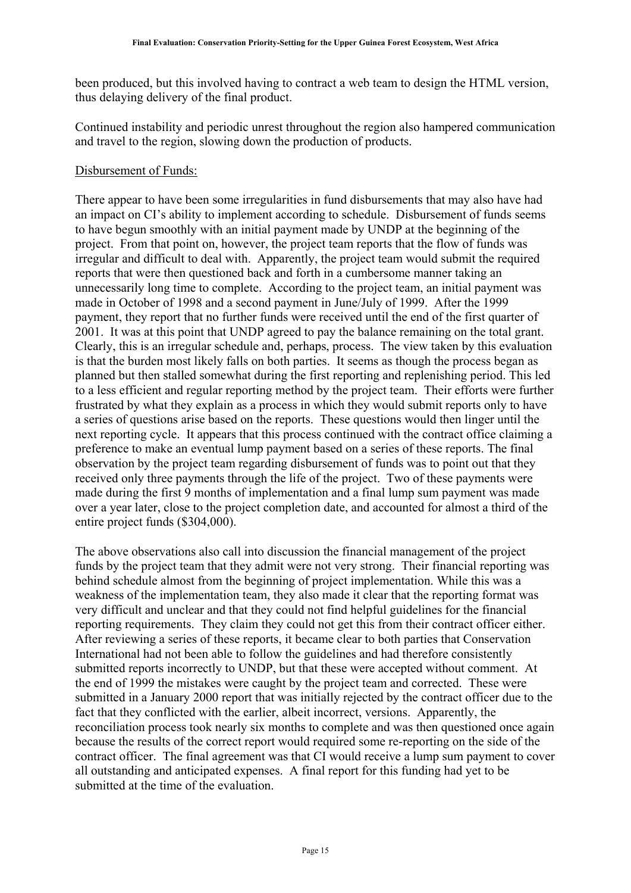been produced, but this involved having to contract a web team to design the HTML version, thus delaying delivery of the final product.

Continued instability and periodic unrest throughout the region also hampered communication and travel to the region, slowing down the production of products.

#### <span id="page-14-0"></span>Disbursement of Funds:

There appear to have been some irregularities in fund disbursements that may also have had an impact on CI's ability to implement according to schedule. Disbursement of funds seems to have begun smoothly with an initial payment made by UNDP at the beginning of the project. From that point on, however, the project team reports that the flow of funds was irregular and difficult to deal with. Apparently, the project team would submit the required reports that were then questioned back and forth in a cumbersome manner taking an unnecessarily long time to complete. According to the project team, an initial payment was made in October of 1998 and a second payment in June/July of 1999. After the 1999 payment, they report that no further funds were received until the end of the first quarter of 2001. It was at this point that UNDP agreed to pay the balance remaining on the total grant. Clearly, this is an irregular schedule and, perhaps, process. The view taken by this evaluation is that the burden most likely falls on both parties. It seems as though the process began as planned but then stalled somewhat during the first reporting and replenishing period. This led to a less efficient and regular reporting method by the project team. Their efforts were further frustrated by what they explain as a process in which they would submit reports only to have a series of questions arise based on the reports. These questions would then linger until the next reporting cycle. It appears that this process continued with the contract office claiming a preference to make an eventual lump payment based on a series of these reports. The final observation by the project team regarding disbursement of funds was to point out that they received only three payments through the life of the project. Two of these payments were made during the first 9 months of implementation and a final lump sum payment was made over a year later, close to the project completion date, and accounted for almost a third of the entire project funds (\$304,000).

The above observations also call into discussion the financial management of the project funds by the project team that they admit were not very strong. Their financial reporting was behind schedule almost from the beginning of project implementation. While this was a weakness of the implementation team, they also made it clear that the reporting format was very difficult and unclear and that they could not find helpful guidelines for the financial reporting requirements. They claim they could not get this from their contract officer either. After reviewing a series of these reports, it became clear to both parties that Conservation International had not been able to follow the guidelines and had therefore consistently submitted reports incorrectly to UNDP, but that these were accepted without comment. At the end of 1999 the mistakes were caught by the project team and corrected. These were submitted in a January 2000 report that was initially rejected by the contract officer due to the fact that they conflicted with the earlier, albeit incorrect, versions. Apparently, the reconciliation process took nearly six months to complete and was then questioned once again because the results of the correct report would required some re-reporting on the side of the contract officer. The final agreement was that CI would receive a lump sum payment to cover all outstanding and anticipated expenses. A final report for this funding had yet to be submitted at the time of the evaluation.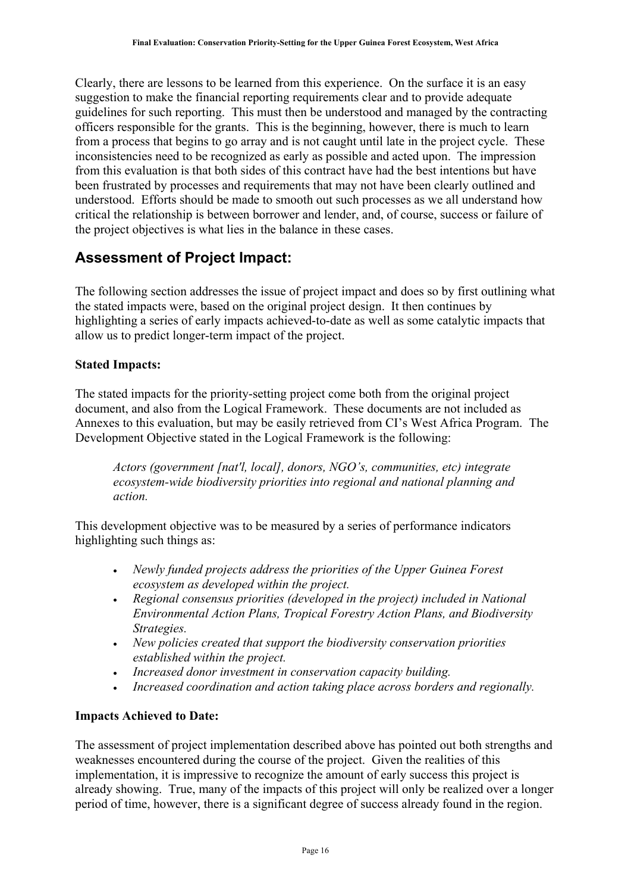Clearly, there are lessons to be learned from this experience. On the surface it is an easy suggestion to make the financial reporting requirements clear and to provide adequate guidelines for such reporting. This must then be understood and managed by the contracting officers responsible for the grants. This is the beginning, however, there is much to learn from a process that begins to go array and is not caught until late in the project cycle. These inconsistencies need to be recognized as early as possible and acted upon. The impression from this evaluation is that both sides of this contract have had the best intentions but have been frustrated by processes and requirements that may not have been clearly outlined and understood. Efforts should be made to smooth out such processes as we all understand how critical the relationship is between borrower and lender, and, of course, success or failure of the project objectives is what lies in the balance in these cases.

### <span id="page-15-0"></span>**Assessment of Project Impact:**

The following section addresses the issue of project impact and does so by first outlining what the stated impacts were, based on the original project design. It then continues by highlighting a series of early impacts achieved-to-date as well as some catalytic impacts that allow us to predict longer-term impact of the project.

#### <span id="page-15-1"></span>**Stated Impacts:**

The stated impacts for the priority-setting project come both from the original project document, and also from the Logical Framework. These documents are not included as Annexes to this evaluation, but may be easily retrieved from CI's West Africa Program. The Development Objective stated in the Logical Framework is the following:

*Actors (government [nat'l, local], donors, NGO's, communities, etc) integrate ecosystem-wide biodiversity priorities into regional and national planning and action.* 

This development objective was to be measured by a series of performance indicators highlighting such things as:

- *Newly funded projects address the priorities of the Upper Guinea Forest ecosystem as developed within the project.*
- *Regional consensus priorities (developed in the project) included in National Environmental Action Plans, Tropical Forestry Action Plans, and Biodiversity Strategies.*
- *New policies created that support the biodiversity conservation priorities established within the project.*
- *Increased donor investment in conservation capacity building.*
- *Increased coordination and action taking place across borders and regionally.*

#### <span id="page-15-2"></span>**Impacts Achieved to Date:**

The assessment of project implementation described above has pointed out both strengths and weaknesses encountered during the course of the project. Given the realities of this implementation, it is impressive to recognize the amount of early success this project is already showing. True, many of the impacts of this project will only be realized over a longer period of time, however, there is a significant degree of success already found in the region.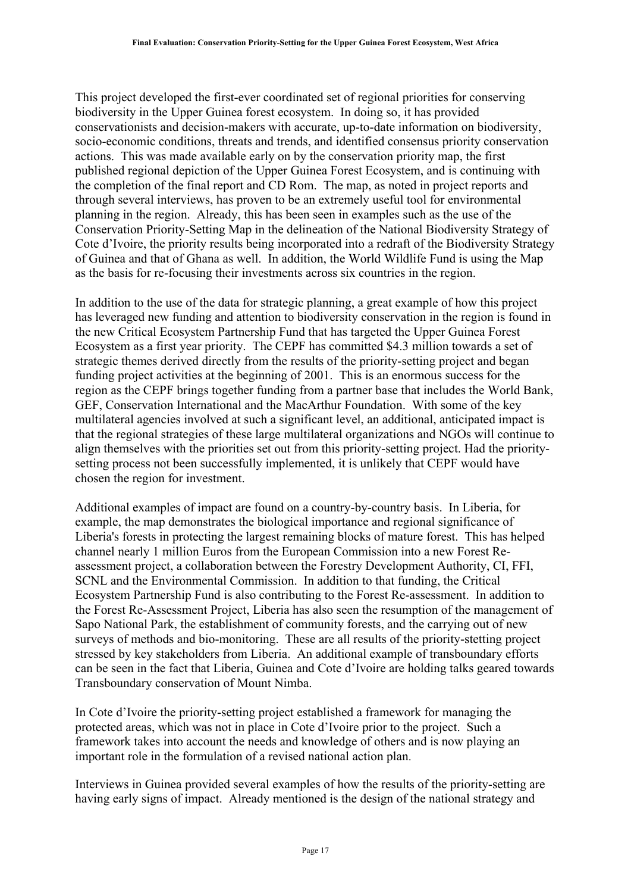This project developed the first-ever coordinated set of regional priorities for conserving biodiversity in the Upper Guinea forest ecosystem. In doing so, it has provided conservationists and decision-makers with accurate, up-to-date information on biodiversity, socio-economic conditions, threats and trends, and identified consensus priority conservation actions. This was made available early on by the conservation priority map, the first published regional depiction of the Upper Guinea Forest Ecosystem, and is continuing with the completion of the final report and CD Rom. The map, as noted in project reports and through several interviews, has proven to be an extremely useful tool for environmental planning in the region. Already, this has been seen in examples such as the use of the Conservation Priority-Setting Map in the delineation of the National Biodiversity Strategy of Cote d'Ivoire, the priority results being incorporated into a redraft of the Biodiversity Strategy of Guinea and that of Ghana as well. In addition, the World Wildlife Fund is using the Map as the basis for re-focusing their investments across six countries in the region.

In addition to the use of the data for strategic planning, a great example of how this project has leveraged new funding and attention to biodiversity conservation in the region is found in the new Critical Ecosystem Partnership Fund that has targeted the Upper Guinea Forest Ecosystem as a first year priority. The CEPF has committed \$4.3 million towards a set of strategic themes derived directly from the results of the priority-setting project and began funding project activities at the beginning of 2001. This is an enormous success for the region as the CEPF brings together funding from a partner base that includes the World Bank, GEF, Conservation International and the MacArthur Foundation. With some of the key multilateral agencies involved at such a significant level, an additional, anticipated impact is that the regional strategies of these large multilateral organizations and NGOs will continue to align themselves with the priorities set out from this priority-setting project. Had the prioritysetting process not been successfully implemented, it is unlikely that CEPF would have chosen the region for investment.

Additional examples of impact are found on a country-by-country basis. In Liberia, for example, the map demonstrates the biological importance and regional significance of Liberia's forests in protecting the largest remaining blocks of mature forest. This has helped channel nearly 1 million Euros from the European Commission into a new Forest Reassessment project, a collaboration between the Forestry Development Authority, CI, FFI, SCNL and the Environmental Commission. In addition to that funding, the Critical Ecosystem Partnership Fund is also contributing to the Forest Re-assessment. In addition to the Forest Re-Assessment Project, Liberia has also seen the resumption of the management of Sapo National Park, the establishment of community forests, and the carrying out of new surveys of methods and bio-monitoring. These are all results of the priority-stetting project stressed by key stakeholders from Liberia. An additional example of transboundary efforts can be seen in the fact that Liberia, Guinea and Cote d'Ivoire are holding talks geared towards Transboundary conservation of Mount Nimba.

In Cote d'Ivoire the priority-setting project established a framework for managing the protected areas, which was not in place in Cote d'Ivoire prior to the project. Such a framework takes into account the needs and knowledge of others and is now playing an important role in the formulation of a revised national action plan.

Interviews in Guinea provided several examples of how the results of the priority-setting are having early signs of impact. Already mentioned is the design of the national strategy and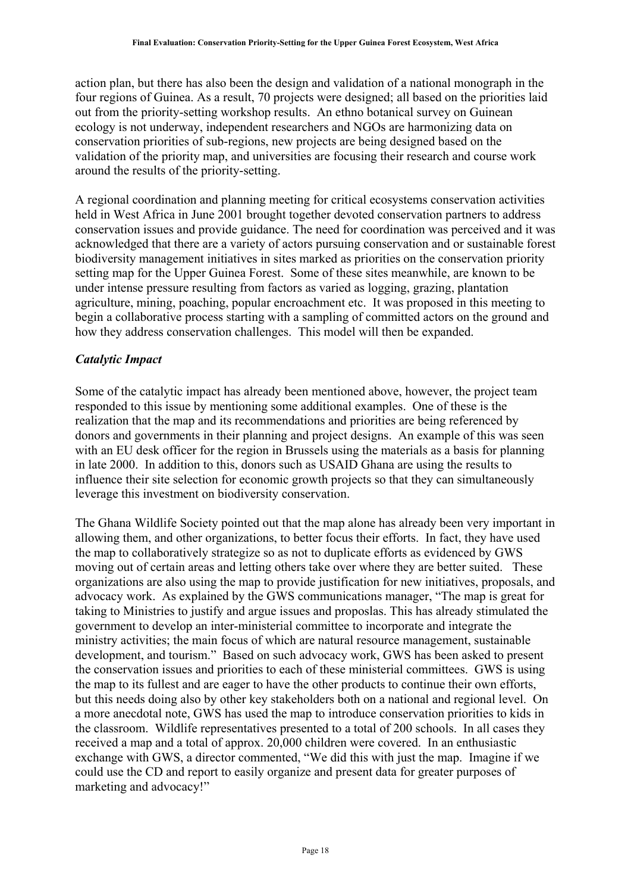action plan, but there has also been the design and validation of a national monograph in the four regions of Guinea. As a result, 70 projects were designed; all based on the priorities laid out from the priority-setting workshop results. An ethno botanical survey on Guinean ecology is not underway, independent researchers and NGOs are harmonizing data on conservation priorities of sub-regions, new projects are being designed based on the validation of the priority map, and universities are focusing their research and course work around the results of the priority-setting.

A regional coordination and planning meeting for critical ecosystems conservation activities held in West Africa in June 2001 brought together devoted conservation partners to address conservation issues and provide guidance. The need for coordination was perceived and it was acknowledged that there are a variety of actors pursuing conservation and or sustainable forest biodiversity management initiatives in sites marked as priorities on the conservation priority setting map for the Upper Guinea Forest. Some of these sites meanwhile, are known to be under intense pressure resulting from factors as varied as logging, grazing, plantation agriculture, mining, poaching, popular encroachment etc. It was proposed in this meeting to begin a collaborative process starting with a sampling of committed actors on the ground and how they address conservation challenges. This model will then be expanded.

#### <span id="page-17-0"></span>*Catalytic Impact*

Some of the catalytic impact has already been mentioned above, however, the project team responded to this issue by mentioning some additional examples. One of these is the realization that the map and its recommendations and priorities are being referenced by donors and governments in their planning and project designs. An example of this was seen with an EU desk officer for the region in Brussels using the materials as a basis for planning in late 2000. In addition to this, donors such as USAID Ghana are using the results to influence their site selection for economic growth projects so that they can simultaneously leverage this investment on biodiversity conservation.

The Ghana Wildlife Society pointed out that the map alone has already been very important in allowing them, and other organizations, to better focus their efforts. In fact, they have used the map to collaboratively strategize so as not to duplicate efforts as evidenced by GWS moving out of certain areas and letting others take over where they are better suited. These organizations are also using the map to provide justification for new initiatives, proposals, and advocacy work. As explained by the GWS communications manager, "The map is great for taking to Ministries to justify and argue issues and proposlas. This has already stimulated the government to develop an inter-ministerial committee to incorporate and integrate the ministry activities; the main focus of which are natural resource management, sustainable development, and tourism." Based on such advocacy work, GWS has been asked to present the conservation issues and priorities to each of these ministerial committees. GWS is using the map to its fullest and are eager to have the other products to continue their own efforts, but this needs doing also by other key stakeholders both on a national and regional level. On a more anecdotal note, GWS has used the map to introduce conservation priorities to kids in the classroom. Wildlife representatives presented to a total of 200 schools. In all cases they received a map and a total of approx. 20,000 children were covered. In an enthusiastic exchange with GWS, a director commented, "We did this with just the map. Imagine if we could use the CD and report to easily organize and present data for greater purposes of marketing and advocacy!"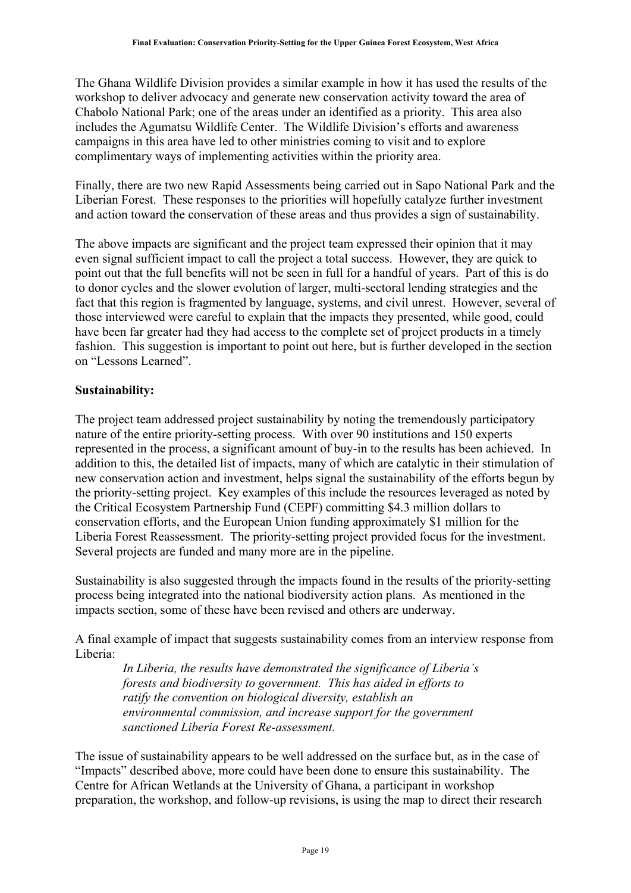The Ghana Wildlife Division provides a similar example in how it has used the results of the workshop to deliver advocacy and generate new conservation activity toward the area of Chabolo National Park; one of the areas under an identified as a priority. This area also includes the Agumatsu Wildlife Center. The Wildlife Division's efforts and awareness campaigns in this area have led to other ministries coming to visit and to explore complimentary ways of implementing activities within the priority area.

Finally, there are two new Rapid Assessments being carried out in Sapo National Park and the Liberian Forest. These responses to the priorities will hopefully catalyze further investment and action toward the conservation of these areas and thus provides a sign of sustainability.

The above impacts are significant and the project team expressed their opinion that it may even signal sufficient impact to call the project a total success. However, they are quick to point out that the full benefits will not be seen in full for a handful of years. Part of this is do to donor cycles and the slower evolution of larger, multi-sectoral lending strategies and the fact that this region is fragmented by language, systems, and civil unrest. However, several of those interviewed were careful to explain that the impacts they presented, while good, could have been far greater had they had access to the complete set of project products in a timely fashion. This suggestion is important to point out here, but is further developed in the section on "Lessons Learned".

#### <span id="page-18-0"></span>**Sustainability:**

The project team addressed project sustainability by noting the tremendously participatory nature of the entire priority-setting process. With over 90 institutions and 150 experts represented in the process, a significant amount of buy-in to the results has been achieved. In addition to this, the detailed list of impacts, many of which are catalytic in their stimulation of new conservation action and investment, helps signal the sustainability of the efforts begun by the priority-setting project. Key examples of this include the resources leveraged as noted by the Critical Ecosystem Partnership Fund (CEPF) committing \$4.3 million dollars to conservation efforts, and the European Union funding approximately \$1 million for the Liberia Forest Reassessment. The priority-setting project provided focus for the investment. Several projects are funded and many more are in the pipeline.

Sustainability is also suggested through the impacts found in the results of the priority-setting process being integrated into the national biodiversity action plans. As mentioned in the impacts section, some of these have been revised and others are underway.

A final example of impact that suggests sustainability comes from an interview response from Liberia:

*In Liberia, the results have demonstrated the significance of Liberia's forests and biodiversity to government. This has aided in efforts to ratify the convention on biological diversity, establish an environmental commission, and increase support for the government sanctioned Liberia Forest Re-assessment.*

The issue of sustainability appears to be well addressed on the surface but, as in the case of "Impacts" described above, more could have been done to ensure this sustainability. The Centre for African Wetlands at the University of Ghana, a participant in workshop preparation, the workshop, and follow-up revisions, is using the map to direct their research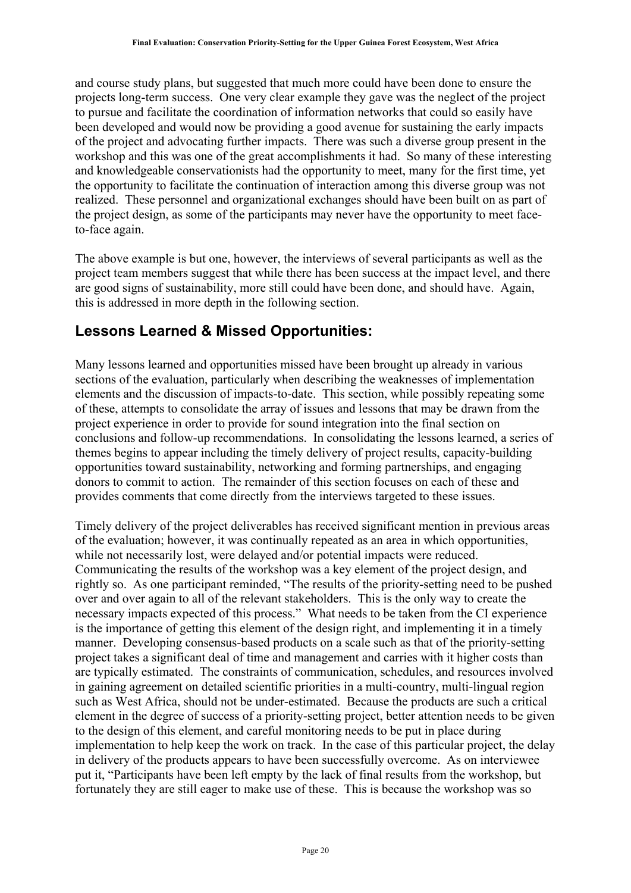and course study plans, but suggested that much more could have been done to ensure the projects long-term success. One very clear example they gave was the neglect of the project to pursue and facilitate the coordination of information networks that could so easily have been developed and would now be providing a good avenue for sustaining the early impacts of the project and advocating further impacts. There was such a diverse group present in the workshop and this was one of the great accomplishments it had. So many of these interesting and knowledgeable conservationists had the opportunity to meet, many for the first time, yet the opportunity to facilitate the continuation of interaction among this diverse group was not realized. These personnel and organizational exchanges should have been built on as part of the project design, as some of the participants may never have the opportunity to meet faceto-face again.

The above example is but one, however, the interviews of several participants as well as the project team members suggest that while there has been success at the impact level, and there are good signs of sustainability, more still could have been done, and should have. Again, this is addressed in more depth in the following section.

### <span id="page-19-0"></span>**Lessons Learned & Missed Opportunities:**

Many lessons learned and opportunities missed have been brought up already in various sections of the evaluation, particularly when describing the weaknesses of implementation elements and the discussion of impacts-to-date. This section, while possibly repeating some of these, attempts to consolidate the array of issues and lessons that may be drawn from the project experience in order to provide for sound integration into the final section on conclusions and follow-up recommendations. In consolidating the lessons learned, a series of themes begins to appear including the timely delivery of project results, capacity-building opportunities toward sustainability, networking and forming partnerships, and engaging donors to commit to action. The remainder of this section focuses on each of these and provides comments that come directly from the interviews targeted to these issues.

Timely delivery of the project deliverables has received significant mention in previous areas of the evaluation; however, it was continually repeated as an area in which opportunities, while not necessarily lost, were delayed and/or potential impacts were reduced. Communicating the results of the workshop was a key element of the project design, and rightly so. As one participant reminded, "The results of the priority-setting need to be pushed over and over again to all of the relevant stakeholders. This is the only way to create the necessary impacts expected of this process." What needs to be taken from the CI experience is the importance of getting this element of the design right, and implementing it in a timely manner. Developing consensus-based products on a scale such as that of the priority-setting project takes a significant deal of time and management and carries with it higher costs than are typically estimated. The constraints of communication, schedules, and resources involved in gaining agreement on detailed scientific priorities in a multi-country, multi-lingual region such as West Africa, should not be under-estimated. Because the products are such a critical element in the degree of success of a priority-setting project, better attention needs to be given to the design of this element, and careful monitoring needs to be put in place during implementation to help keep the work on track. In the case of this particular project, the delay in delivery of the products appears to have been successfully overcome. As on interviewee put it, "Participants have been left empty by the lack of final results from the workshop, but fortunately they are still eager to make use of these. This is because the workshop was so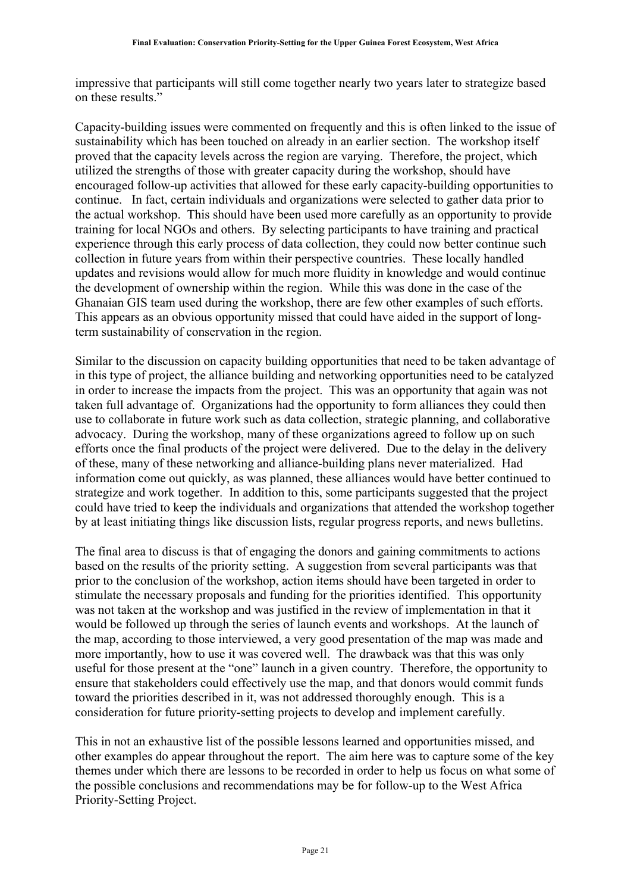impressive that participants will still come together nearly two years later to strategize based on these results."

Capacity-building issues were commented on frequently and this is often linked to the issue of sustainability which has been touched on already in an earlier section. The workshop itself proved that the capacity levels across the region are varying. Therefore, the project, which utilized the strengths of those with greater capacity during the workshop, should have encouraged follow-up activities that allowed for these early capacity-building opportunities to continue. In fact, certain individuals and organizations were selected to gather data prior to the actual workshop. This should have been used more carefully as an opportunity to provide training for local NGOs and others. By selecting participants to have training and practical experience through this early process of data collection, they could now better continue such collection in future years from within their perspective countries. These locally handled updates and revisions would allow for much more fluidity in knowledge and would continue the development of ownership within the region. While this was done in the case of the Ghanaian GIS team used during the workshop, there are few other examples of such efforts. This appears as an obvious opportunity missed that could have aided in the support of longterm sustainability of conservation in the region.

Similar to the discussion on capacity building opportunities that need to be taken advantage of in this type of project, the alliance building and networking opportunities need to be catalyzed in order to increase the impacts from the project. This was an opportunity that again was not taken full advantage of. Organizations had the opportunity to form alliances they could then use to collaborate in future work such as data collection, strategic planning, and collaborative advocacy. During the workshop, many of these organizations agreed to follow up on such efforts once the final products of the project were delivered. Due to the delay in the delivery of these, many of these networking and alliance-building plans never materialized. Had information come out quickly, as was planned, these alliances would have better continued to strategize and work together. In addition to this, some participants suggested that the project could have tried to keep the individuals and organizations that attended the workshop together by at least initiating things like discussion lists, regular progress reports, and news bulletins.

The final area to discuss is that of engaging the donors and gaining commitments to actions based on the results of the priority setting. A suggestion from several participants was that prior to the conclusion of the workshop, action items should have been targeted in order to stimulate the necessary proposals and funding for the priorities identified. This opportunity was not taken at the workshop and was justified in the review of implementation in that it would be followed up through the series of launch events and workshops. At the launch of the map, according to those interviewed, a very good presentation of the map was made and more importantly, how to use it was covered well. The drawback was that this was only useful for those present at the "one" launch in a given country. Therefore, the opportunity to ensure that stakeholders could effectively use the map, and that donors would commit funds toward the priorities described in it, was not addressed thoroughly enough. This is a consideration for future priority-setting projects to develop and implement carefully.

This in not an exhaustive list of the possible lessons learned and opportunities missed, and other examples do appear throughout the report. The aim here was to capture some of the key themes under which there are lessons to be recorded in order to help us focus on what some of the possible conclusions and recommendations may be for follow-up to the West Africa Priority-Setting Project.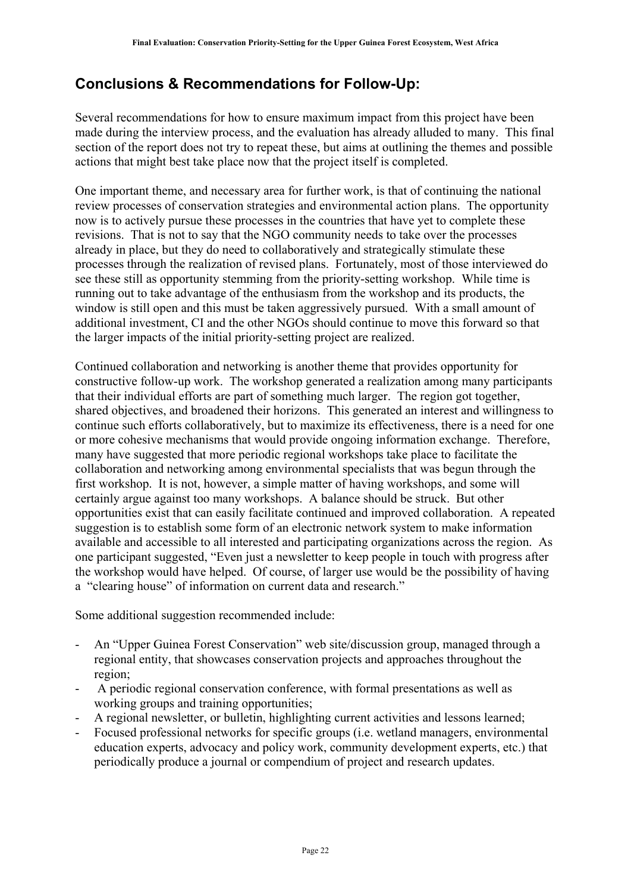### <span id="page-21-0"></span>**Conclusions & Recommendations for Follow-Up:**

Several recommendations for how to ensure maximum impact from this project have been made during the interview process, and the evaluation has already alluded to many. This final section of the report does not try to repeat these, but aims at outlining the themes and possible actions that might best take place now that the project itself is completed.

One important theme, and necessary area for further work, is that of continuing the national review processes of conservation strategies and environmental action plans. The opportunity now is to actively pursue these processes in the countries that have yet to complete these revisions. That is not to say that the NGO community needs to take over the processes already in place, but they do need to collaboratively and strategically stimulate these processes through the realization of revised plans. Fortunately, most of those interviewed do see these still as opportunity stemming from the priority-setting workshop. While time is running out to take advantage of the enthusiasm from the workshop and its products, the window is still open and this must be taken aggressively pursued. With a small amount of additional investment, CI and the other NGOs should continue to move this forward so that the larger impacts of the initial priority-setting project are realized.

Continued collaboration and networking is another theme that provides opportunity for constructive follow-up work. The workshop generated a realization among many participants that their individual efforts are part of something much larger. The region got together, shared objectives, and broadened their horizons. This generated an interest and willingness to continue such efforts collaboratively, but to maximize its effectiveness, there is a need for one or more cohesive mechanisms that would provide ongoing information exchange. Therefore, many have suggested that more periodic regional workshops take place to facilitate the collaboration and networking among environmental specialists that was begun through the first workshop. It is not, however, a simple matter of having workshops, and some will certainly argue against too many workshops. A balance should be struck. But other opportunities exist that can easily facilitate continued and improved collaboration. A repeated suggestion is to establish some form of an electronic network system to make information available and accessible to all interested and participating organizations across the region. As one participant suggested, "Even just a newsletter to keep people in touch with progress after the workshop would have helped. Of course, of larger use would be the possibility of having a "clearing house" of information on current data and research."

Some additional suggestion recommended include:

- An "Upper Guinea Forest Conservation" web site/discussion group, managed through a regional entity, that showcases conservation projects and approaches throughout the region;
- A periodic regional conservation conference, with formal presentations as well as working groups and training opportunities;
- A regional newsletter, or bulletin, highlighting current activities and lessons learned;
- Focused professional networks for specific groups (i.e. wetland managers, environmental education experts, advocacy and policy work, community development experts, etc.) that periodically produce a journal or compendium of project and research updates.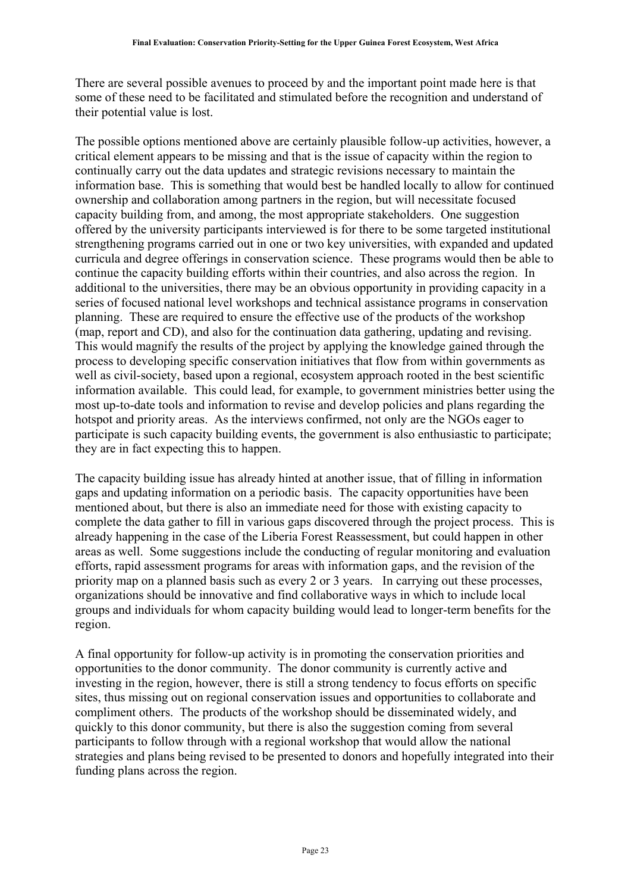There are several possible avenues to proceed by and the important point made here is that some of these need to be facilitated and stimulated before the recognition and understand of their potential value is lost.

The possible options mentioned above are certainly plausible follow-up activities, however, a critical element appears to be missing and that is the issue of capacity within the region to continually carry out the data updates and strategic revisions necessary to maintain the information base. This is something that would best be handled locally to allow for continued ownership and collaboration among partners in the region, but will necessitate focused capacity building from, and among, the most appropriate stakeholders. One suggestion offered by the university participants interviewed is for there to be some targeted institutional strengthening programs carried out in one or two key universities, with expanded and updated curricula and degree offerings in conservation science. These programs would then be able to continue the capacity building efforts within their countries, and also across the region. In additional to the universities, there may be an obvious opportunity in providing capacity in a series of focused national level workshops and technical assistance programs in conservation planning. These are required to ensure the effective use of the products of the workshop (map, report and CD), and also for the continuation data gathering, updating and revising. This would magnify the results of the project by applying the knowledge gained through the process to developing specific conservation initiatives that flow from within governments as well as civil-society, based upon a regional, ecosystem approach rooted in the best scientific information available. This could lead, for example, to government ministries better using the most up-to-date tools and information to revise and develop policies and plans regarding the hotspot and priority areas. As the interviews confirmed, not only are the NGOs eager to participate is such capacity building events, the government is also enthusiastic to participate; they are in fact expecting this to happen.

The capacity building issue has already hinted at another issue, that of filling in information gaps and updating information on a periodic basis. The capacity opportunities have been mentioned about, but there is also an immediate need for those with existing capacity to complete the data gather to fill in various gaps discovered through the project process. This is already happening in the case of the Liberia Forest Reassessment, but could happen in other areas as well. Some suggestions include the conducting of regular monitoring and evaluation efforts, rapid assessment programs for areas with information gaps, and the revision of the priority map on a planned basis such as every 2 or 3 years. In carrying out these processes, organizations should be innovative and find collaborative ways in which to include local groups and individuals for whom capacity building would lead to longer-term benefits for the region.

A final opportunity for follow-up activity is in promoting the conservation priorities and opportunities to the donor community. The donor community is currently active and investing in the region, however, there is still a strong tendency to focus efforts on specific sites, thus missing out on regional conservation issues and opportunities to collaborate and compliment others. The products of the workshop should be disseminated widely, and quickly to this donor community, but there is also the suggestion coming from several participants to follow through with a regional workshop that would allow the national strategies and plans being revised to be presented to donors and hopefully integrated into their funding plans across the region.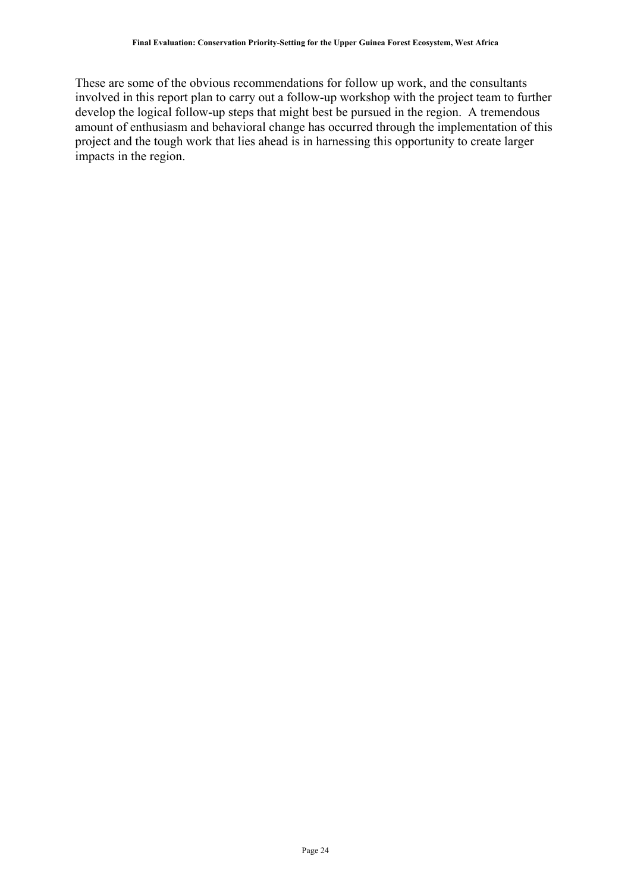These are some of the obvious recommendations for follow up work, and the consultants involved in this report plan to carry out a follow-up workshop with the project team to further develop the logical follow-up steps that might best be pursued in the region. A tremendous amount of enthusiasm and behavioral change has occurred through the implementation of this project and the tough work that lies ahead is in harnessing this opportunity to create larger impacts in the region.